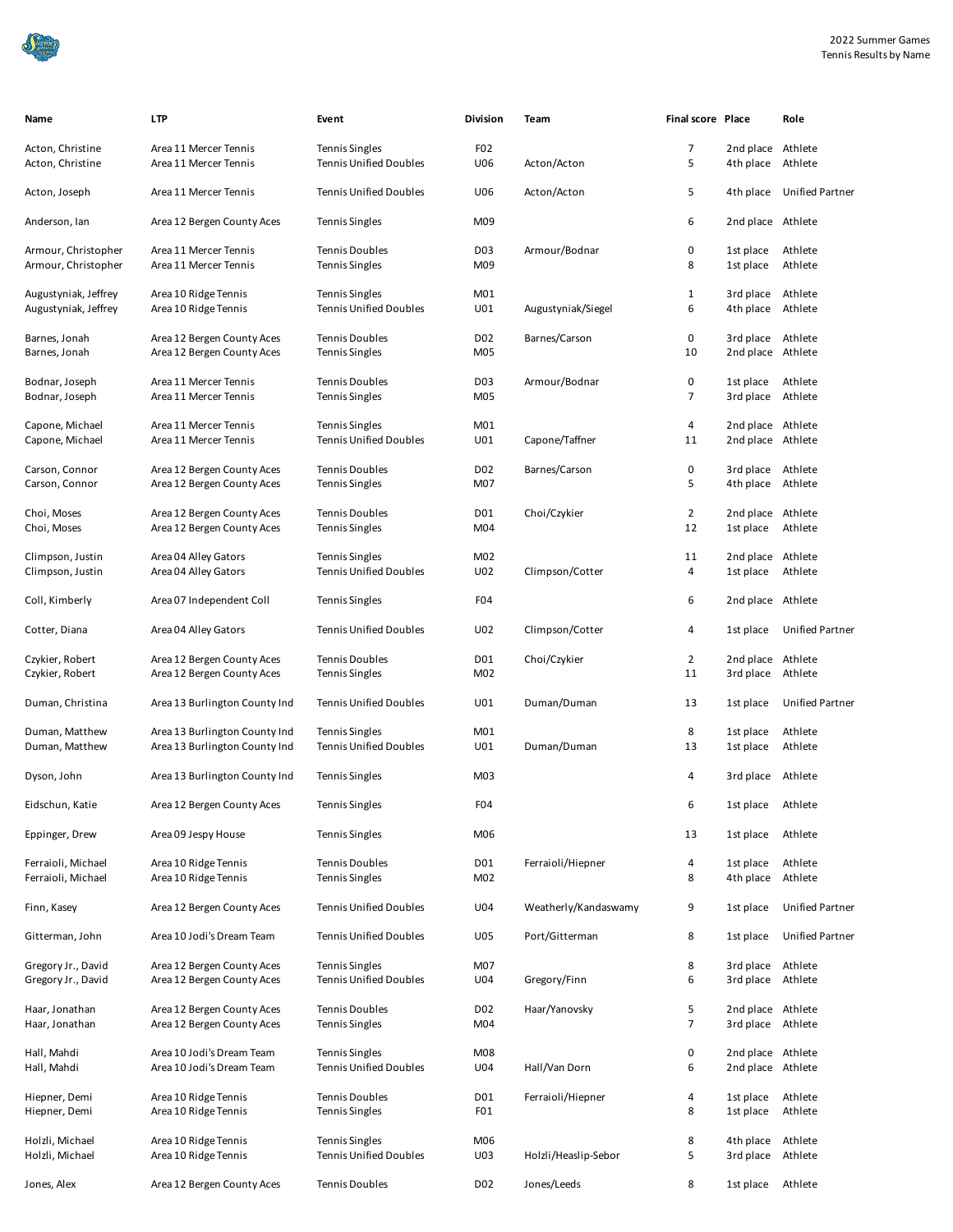

| Name                                         | <b>LTP</b>                                                     | Event                                                  | <b>Division</b>         | Team                 | <b>Final score Place</b> |                                        | Role                      |
|----------------------------------------------|----------------------------------------------------------------|--------------------------------------------------------|-------------------------|----------------------|--------------------------|----------------------------------------|---------------------------|
| Acton, Christine<br>Acton, Christine         | Area 11 Mercer Tennis<br>Area 11 Mercer Tennis                 | <b>Tennis Singles</b><br><b>Tennis Unified Doubles</b> | F <sub>02</sub><br>U06  | Acton/Acton          | 7<br>5                   | 2nd place<br>4th place                 | Athlete<br>Athlete        |
| Acton, Joseph                                | Area 11 Mercer Tennis                                          | <b>Tennis Unified Doubles</b>                          | U06                     | Acton/Acton          | 5                        |                                        | 4th place Unified Partner |
| Anderson, Ian                                | Area 12 Bergen County Aces                                     | <b>Tennis Singles</b>                                  | M09                     |                      | 6                        | 2nd place Athlete                      |                           |
| Armour, Christopher<br>Armour, Christopher   | Area 11 Mercer Tennis<br>Area 11 Mercer Tennis                 | <b>Tennis Doubles</b><br><b>Tennis Singles</b>         | DO3<br>M09              | Armour/Bodnar        | 0<br>8                   | 1st place<br>1st place                 | Athlete<br>Athlete        |
| Augustyniak, Jeffrey<br>Augustyniak, Jeffrey | Area 10 Ridge Tennis<br>Area 10 Ridge Tennis                   | <b>Tennis Singles</b><br><b>Tennis Unified Doubles</b> | M01<br>U01              | Augustyniak/Siegel   | $\mathbf 1$<br>6         | 3rd place<br>4th place                 | Athlete<br>Athlete        |
| Barnes, Jonah<br>Barnes, Jonah               | Area 12 Bergen County Aces<br>Area 12 Bergen County Aces       | <b>Tennis Doubles</b><br><b>Tennis Singles</b>         | D <sub>02</sub><br>M05  | Barnes/Carson        | 0<br>10                  | 3rd place<br>2nd place                 | Athlete<br>Athlete        |
| Bodnar, Joseph<br>Bodnar, Joseph             | Area 11 Mercer Tennis<br>Area 11 Mercer Tennis                 | <b>Tennis Doubles</b><br><b>Tennis Singles</b>         | D <sub>0</sub> 3<br>M05 | Armour/Bodnar        | 0<br>$\overline{7}$      | 1st place<br>3rd place                 | Athlete<br>Athlete        |
| Capone, Michael<br>Capone, Michael           | Area 11 Mercer Tennis<br>Area 11 Mercer Tennis                 | <b>Tennis Singles</b><br><b>Tennis Unified Doubles</b> | M01<br>U01              | Capone/Taffner       | 4<br>11                  | 2nd place Athlete<br>2nd place Athlete |                           |
| Carson, Connor<br>Carson, Connor             | Area 12 Bergen County Aces<br>Area 12 Bergen County Aces       | <b>Tennis Doubles</b><br><b>Tennis Singles</b>         | D <sub>0</sub> 2<br>M07 | Barnes/Carson        | 0<br>5                   | 3rd place Athlete<br>4th place Athlete |                           |
| Choi, Moses<br>Choi, Moses                   | Area 12 Bergen County Aces<br>Area 12 Bergen County Aces       | <b>Tennis Doubles</b><br><b>Tennis Singles</b>         | D01<br>M04              | Choi/Czykier         | $\overline{2}$<br>12     | 2nd place<br>1st place                 | Athlete<br>Athlete        |
| Climpson, Justin<br>Climpson, Justin         | Area 04 Alley Gators<br>Area 04 Alley Gators                   | <b>Tennis Singles</b><br><b>Tennis Unified Doubles</b> | M02<br>U02              | Climpson/Cotter      | 11<br>4                  | 2nd place Athlete<br>1st place         | Athlete                   |
| Coll, Kimberly                               | Area 07 Independent Coll                                       | <b>Tennis Singles</b>                                  | F <sub>04</sub>         |                      | 6                        | 2nd place Athlete                      |                           |
| Cotter, Diana                                | Area 04 Alley Gators                                           | <b>Tennis Unified Doubles</b>                          | U02                     | Climpson/Cotter      | 4                        | 1st place                              | <b>Unified Partner</b>    |
| Czykier, Robert<br>Czykier, Robert           | Area 12 Bergen County Aces<br>Area 12 Bergen County Aces       | <b>Tennis Doubles</b><br><b>Tennis Singles</b>         | D01<br>M02              | Choi/Czykier         | $\overline{2}$<br>11     | 2nd place Athlete<br>3rd place         | Athlete                   |
| Duman, Christina                             | Area 13 Burlington County Ind                                  | <b>Tennis Unified Doubles</b>                          | U01                     | Duman/Duman          | 13                       | 1st place                              | <b>Unified Partner</b>    |
| Duman, Matthew<br>Duman, Matthew             | Area 13 Burlington County Ind<br>Area 13 Burlington County Ind | <b>Tennis Singles</b><br><b>Tennis Unified Doubles</b> | M01<br>U01              | Duman/Duman          | 8<br>13                  | 1st place<br>1st place                 | Athlete<br>Athlete        |
| Dyson, John                                  | Area 13 Burlington County Ind                                  | <b>Tennis Singles</b>                                  | M <sub>03</sub>         |                      | 4                        | 3rd place Athlete                      |                           |
| Eidschun, Katie                              | Area 12 Bergen County Aces                                     | <b>Tennis Singles</b>                                  | F <sub>04</sub>         |                      | 6                        | 1st place                              | Athlete                   |
| Eppinger, Drew                               | Area 09 Jespy House                                            | <b>Tennis Singles</b>                                  | M06                     |                      | 13                       | 1st place                              | Athlete                   |
| Ferraioli, Michael<br>Ferraioli, Michael     | Area 10 Ridge Tennis<br>Area 10 Ridge Tennis                   | <b>Tennis Doubles</b><br><b>Tennis Singles</b>         | D01<br>M02              | Ferraioli/Hiepner    | 4<br>8                   | 1st place<br>4th place                 | Athlete<br>Athlete        |
| Finn, Kasey                                  | Area 12 Bergen County Aces                                     | <b>Tennis Unified Doubles</b>                          | U04                     | Weatherly/Kandaswamy | 9                        | 1st place                              | <b>Unified Partner</b>    |
| Gitterman, John                              | Area 10 Jodi's Dream Team                                      | <b>Tennis Unified Doubles</b>                          | U05                     | Port/Gitterman       | 8                        | 1st place                              | Unified Partner           |
| Gregory Jr., David<br>Gregory Jr., David     | Area 12 Bergen County Aces<br>Area 12 Bergen County Aces       | <b>Tennis Singles</b><br><b>Tennis Unified Doubles</b> | M07<br>U04              | Gregory/Finn         | 8<br>6                   | 3rd place<br>3rd place                 | Athlete<br>Athlete        |
| Haar, Jonathan<br>Haar, Jonathan             | Area 12 Bergen County Aces<br>Area 12 Bergen County Aces       | <b>Tennis Doubles</b><br><b>Tennis Singles</b>         | D <sub>02</sub><br>M04  | Haar/Yanovsky        | 5<br>7                   | 2nd place Athlete<br>3rd place Athlete |                           |
| Hall, Mahdi<br>Hall, Mahdi                   | Area 10 Jodi's Dream Team<br>Area 10 Jodi's Dream Team         | <b>Tennis Singles</b><br><b>Tennis Unified Doubles</b> | M08<br>U04              | Hall/Van Dorn        | 0<br>6                   | 2nd place Athlete<br>2nd place Athlete |                           |
| Hiepner, Demi<br>Hiepner, Demi               | Area 10 Ridge Tennis<br>Area 10 Ridge Tennis                   | <b>Tennis Doubles</b><br><b>Tennis Singles</b>         | D01<br>FO <sub>1</sub>  | Ferraioli/Hiepner    | 4<br>8                   | 1st place<br>1st place                 | Athlete<br>Athlete        |
| Holzli, Michael<br>Holzli, Michael           | Area 10 Ridge Tennis<br>Area 10 Ridge Tennis                   | <b>Tennis Singles</b><br><b>Tennis Unified Doubles</b> | M06<br>U03              | Holzli/Heaslip-Sebor | 8<br>5                   | 4th place<br>3rd place                 | Athlete<br>Athlete        |
| Jones, Alex                                  | Area 12 Bergen County Aces                                     | <b>Tennis Doubles</b>                                  | D <sub>02</sub>         | Jones/Leeds          | 8                        | 1st place                              | Athlete                   |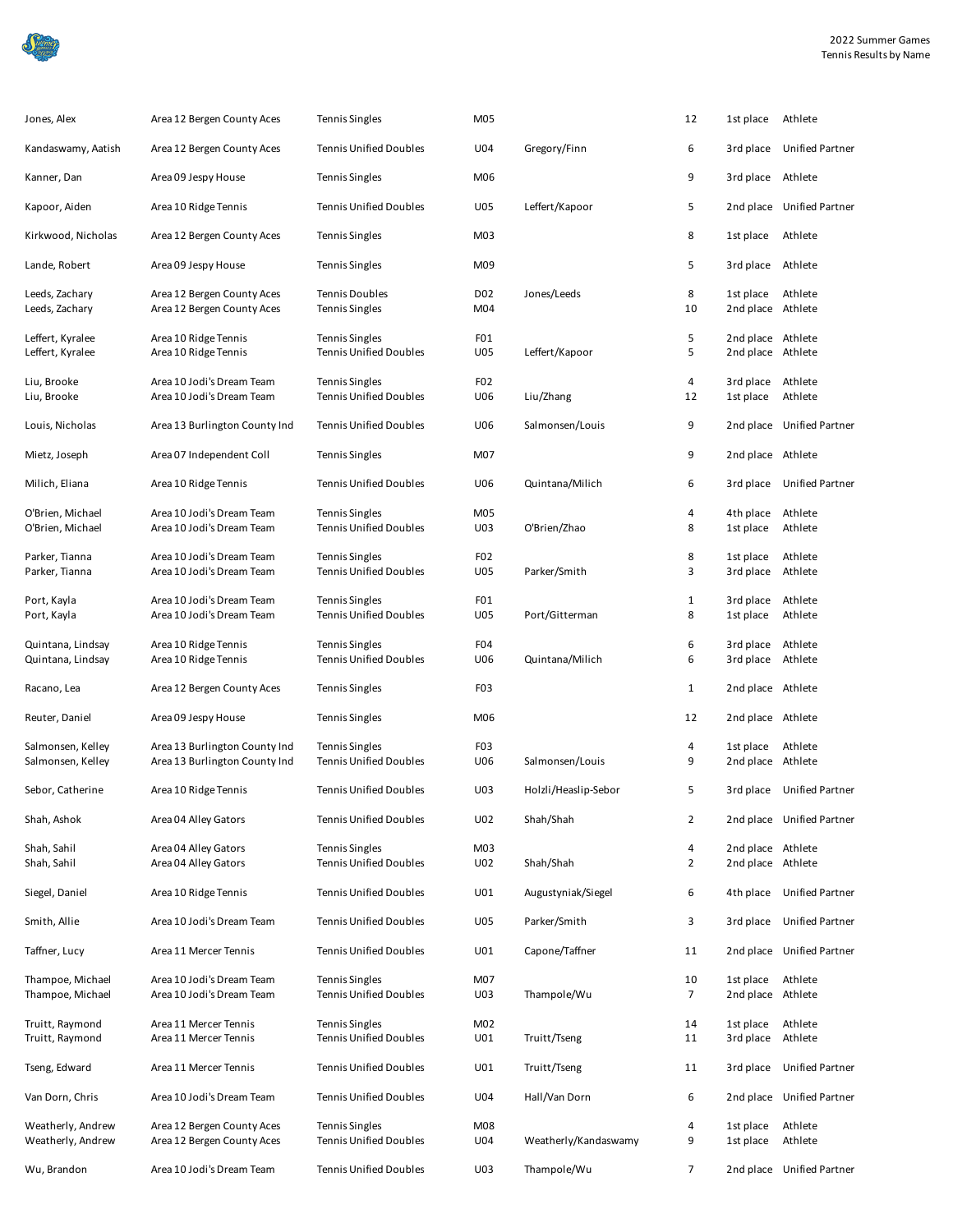

| Jones, Alex                          | Area 12 Bergen County Aces                               | <b>Tennis Singles</b>                                  | M05                    |                      | 12             | 1st place                              | Athlete                   |
|--------------------------------------|----------------------------------------------------------|--------------------------------------------------------|------------------------|----------------------|----------------|----------------------------------------|---------------------------|
| Kandaswamy, Aatish                   | Area 12 Bergen County Aces                               | <b>Tennis Unified Doubles</b>                          | U04                    | Gregory/Finn         | 6              | 3rd place                              | <b>Unified Partner</b>    |
| Kanner, Dan                          | Area 09 Jespy House                                      | <b>Tennis Singles</b>                                  | M06                    |                      | 9              | 3rd place Athlete                      |                           |
| Kapoor, Aiden                        | Area 10 Ridge Tennis                                     | <b>Tennis Unified Doubles</b>                          | <b>U05</b>             | Leffert/Kapoor       | 5              |                                        | 2nd place Unified Partner |
| Kirkwood, Nicholas                   | Area 12 Bergen County Aces                               | <b>Tennis Singles</b>                                  | M03                    |                      | 8              | 1st place                              | Athlete                   |
| Lande, Robert                        | Area 09 Jespy House                                      | <b>Tennis Singles</b>                                  | M09                    |                      | 5              | 3rd place                              | Athlete                   |
| Leeds, Zachary<br>Leeds, Zachary     | Area 12 Bergen County Aces<br>Area 12 Bergen County Aces | <b>Tennis Doubles</b><br><b>Tennis Singles</b>         | D02<br>M04             | Jones/Leeds          | 8<br>10        | 1st place<br>2nd place Athlete         | Athlete                   |
| Leffert, Kyralee<br>Leffert, Kyralee | Area 10 Ridge Tennis<br>Area 10 Ridge Tennis             | <b>Tennis Singles</b><br><b>Tennis Unified Doubles</b> | FO <sub>1</sub><br>U05 | Leffert/Kapoor       | 5<br>5         | 2nd place Athlete<br>2nd place Athlete |                           |
| Liu, Brooke                          | Area 10 Jodi's Dream Team                                | <b>Tennis Singles</b>                                  | F <sub>02</sub>        |                      | 4              | 3rd place                              | Athlete                   |
| Liu, Brooke                          | Area 10 Jodi's Dream Team                                | <b>Tennis Unified Doubles</b>                          | U06                    | Liu/Zhang            | 12             | 1st place                              | Athlete                   |
| Louis, Nicholas                      | Area 13 Burlington County Ind                            | <b>Tennis Unified Doubles</b>                          | <b>U06</b>             | Salmonsen/Louis      | 9              |                                        | 2nd place Unified Partner |
| Mietz, Joseph                        | Area 07 Independent Coll                                 | <b>Tennis Singles</b>                                  | M07                    |                      | 9              | 2nd place Athlete                      |                           |
| Milich, Eliana                       | Area 10 Ridge Tennis                                     | <b>Tennis Unified Doubles</b>                          | U06                    | Quintana/Milich      | 6              | 3rd place                              | <b>Unified Partner</b>    |
|                                      |                                                          |                                                        |                        |                      |                |                                        |                           |
| O'Brien, Michael                     | Area 10 Jodi's Dream Team                                | <b>Tennis Singles</b>                                  | M05                    |                      | 4              | 4th place                              | Athlete                   |
| O'Brien, Michael                     | Area 10 Jodi's Dream Team                                | <b>Tennis Unified Doubles</b>                          | U03                    | O'Brien/Zhao         | 8              | 1st place                              | Athlete                   |
| Parker, Tianna                       | Area 10 Jodi's Dream Team                                | <b>Tennis Singles</b>                                  | F <sub>02</sub>        |                      | 8              | 1st place                              | Athlete                   |
| Parker, Tianna                       | Area 10 Jodi's Dream Team                                | <b>Tennis Unified Doubles</b>                          | U05                    | Parker/Smith         | 3              | 3rd place                              | Athlete                   |
|                                      |                                                          |                                                        |                        |                      |                |                                        |                           |
| Port, Kayla                          | Area 10 Jodi's Dream Team                                | <b>Tennis Singles</b>                                  | FO <sub>1</sub>        |                      | $\mathbf{1}$   | 3rd place                              | Athlete                   |
| Port, Kayla                          | Area 10 Jodi's Dream Team                                | <b>Tennis Unified Doubles</b>                          | U05                    | Port/Gitterman       | 8              | 1st place                              | Athlete                   |
|                                      |                                                          |                                                        |                        |                      |                |                                        |                           |
| Quintana, Lindsay                    | Area 10 Ridge Tennis                                     | <b>Tennis Singles</b>                                  | F <sub>04</sub>        |                      | 6              | 3rd place                              | Athlete                   |
| Quintana, Lindsay                    | Area 10 Ridge Tennis                                     | <b>Tennis Unified Doubles</b>                          | U06                    | Quintana/Milich      | 6              | 3rd place                              | Athlete                   |
| Racano, Lea                          | Area 12 Bergen County Aces                               | <b>Tennis Singles</b>                                  | F <sub>0</sub> 3       |                      | $\mathbf{1}$   | 2nd place Athlete                      |                           |
| Reuter, Daniel                       | Area 09 Jespy House                                      | <b>Tennis Singles</b>                                  | M06                    |                      | 12             | 2nd place Athlete                      |                           |
| Salmonsen, Kelley                    | Area 13 Burlington County Ind                            | <b>Tennis Singles</b>                                  | F <sub>0</sub> 3       |                      | 4              | 1st place                              | Athlete                   |
| Salmonsen, Kelley                    | Area 13 Burlington County Ind                            | <b>Tennis Unified Doubles</b>                          | U06                    | Salmonsen/Louis      | 9              | 2nd place Athlete                      |                           |
| Sebor, Catherine                     | Area 10 Ridge Tennis                                     | <b>Tennis Unified Doubles</b>                          | U03                    | Holzli/Heaslip-Sebor | 5              |                                        | 3rd place Unified Partner |
|                                      |                                                          |                                                        |                        |                      |                |                                        |                           |
| Shah, Ashok                          | Area 04 Alley Gators                                     | <b>Tennis Unified Doubles</b>                          | U02                    | Shah/Shah            | $\overline{2}$ |                                        | 2nd place Unified Partner |
| Shah, Sahil                          | Area 04 Alley Gators                                     | <b>Tennis Singles</b>                                  | M <sub>03</sub>        |                      | 4              | 2nd place Athlete                      |                           |
| Shah, Sahil                          | Area 04 Alley Gators                                     | <b>Tennis Unified Doubles</b>                          | U02                    | Shah/Shah            | 2              | 2nd place Athlete                      |                           |
| Siegel, Daniel                       | Area 10 Ridge Tennis                                     | <b>Tennis Unified Doubles</b>                          | U01                    | Augustyniak/Siegel   | 6              |                                        | 4th place Unified Partner |
| Smith, Allie                         | Area 10 Jodi's Dream Team                                | <b>Tennis Unified Doubles</b>                          | U05                    | Parker/Smith         | 3              | 3rd place                              | <b>Unified Partner</b>    |
| Taffner, Lucy                        | Area 11 Mercer Tennis                                    | <b>Tennis Unified Doubles</b>                          | U01                    | Capone/Taffner       | 11             |                                        | 2nd place Unified Partner |
| Thampoe, Michael                     | Area 10 Jodi's Dream Team                                | <b>Tennis Singles</b>                                  | M07                    |                      | 10             |                                        | Athlete                   |
| Thampoe, Michael                     | Area 10 Jodi's Dream Team                                | <b>Tennis Unified Doubles</b>                          | U03                    | Thampole/Wu          | $\overline{7}$ | 1st place<br>2nd place Athlete         |                           |
|                                      |                                                          |                                                        |                        |                      |                |                                        |                           |
| Truitt, Raymond                      | Area 11 Mercer Tennis                                    | <b>Tennis Singles</b>                                  | M02                    |                      | 14             | 1st place                              | Athlete                   |
| Truitt, Raymond                      | Area 11 Mercer Tennis                                    | <b>Tennis Unified Doubles</b>                          | U01                    | Truitt/Tseng         | 11             | 3rd place                              | Athlete                   |
|                                      |                                                          |                                                        |                        |                      |                |                                        |                           |
| Tseng, Edward                        | Area 11 Mercer Tennis                                    | <b>Tennis Unified Doubles</b>                          | U01                    | Truitt/Tseng         | 11             | 3rd place                              | Unified Partner           |
| Van Dorn, Chris                      | Area 10 Jodi's Dream Team                                | <b>Tennis Unified Doubles</b>                          | U04                    | Hall/Van Dorn        | 6              |                                        | 2nd place Unified Partner |
| Weatherly, Andrew                    | Area 12 Bergen County Aces                               | <b>Tennis Singles</b>                                  | M08                    |                      | 4              | 1st place                              | Athlete                   |
| Weatherly, Andrew                    | Area 12 Bergen County Aces                               | <b>Tennis Unified Doubles</b>                          | U04                    | Weatherly/Kandaswamy | 9              | 1st place                              | Athlete                   |
| Wu, Brandon                          | Area 10 Jodi's Dream Team                                | <b>Tennis Unified Doubles</b>                          | U03                    | Thampole/Wu          | $\overline{7}$ |                                        | 2nd place Unified Partner |